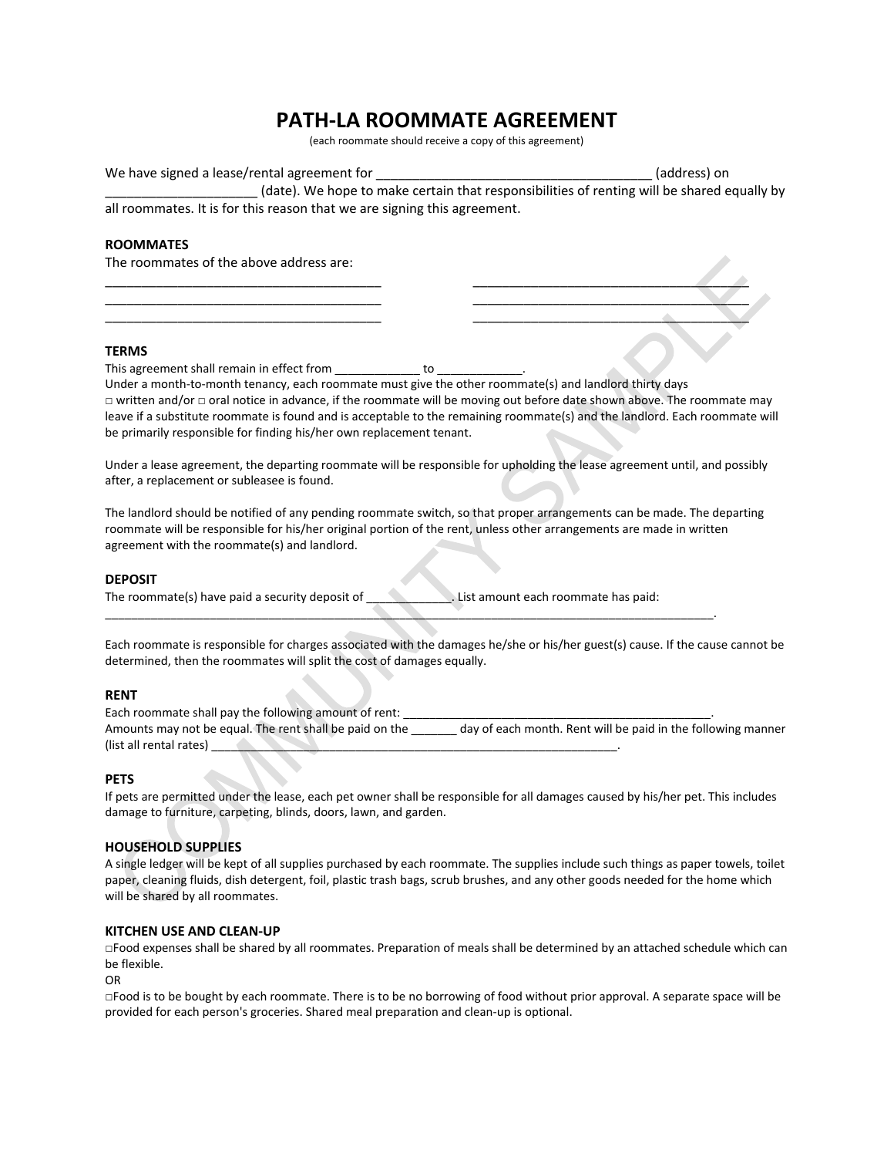# **PATH-LA ROOMMATE AGREEMENT**

(each roommate should receive a copy of this agreement)

| We have signed a lease/rental agreement for                              | (address) on                                                                               |
|--------------------------------------------------------------------------|--------------------------------------------------------------------------------------------|
|                                                                          | (date). We hope to make certain that responsibilities of renting will be shared equally by |
| all roommates. It is for this reason that we are signing this agreement. |                                                                                            |

\_\_\_\_\_\_\_\_\_\_\_\_\_\_\_\_\_\_\_\_\_\_\_\_\_\_\_\_\_\_\_\_\_\_\_\_\_\_ \_\_\_\_\_\_\_\_\_\_\_\_\_\_\_\_\_\_\_\_\_\_\_\_\_\_\_\_\_\_\_\_\_\_\_\_\_\_ \_\_\_\_\_\_\_\_\_\_\_\_\_\_\_\_\_\_\_\_\_\_\_\_\_\_\_\_\_\_\_\_\_\_\_\_\_\_ \_\_\_\_\_\_\_\_\_\_\_\_\_\_\_\_\_\_\_\_\_\_\_\_\_\_\_\_\_\_\_\_\_\_\_\_\_\_ \_\_\_\_\_\_\_\_\_\_\_\_\_\_\_\_\_\_\_\_\_\_\_\_\_\_\_\_\_\_\_\_\_\_\_\_\_\_ \_\_\_\_\_\_\_\_\_\_\_\_\_\_\_\_\_\_\_\_\_\_\_\_\_\_\_\_\_\_\_\_\_\_\_\_\_\_

## **ROOMMATES**

The roommates of the above address are:

#### **TERMS**

This agreement shall remain in effect from \_\_\_\_\_\_\_\_\_\_\_\_\_\_\_\_ to \_

Under a month-to-month tenancy, each roommate must give the other roommate(s) and landlord thirty days □ written and/or □ oral notice in advance, if the roommate will be moving out before date shown above. The roommate may leave if a substitute roommate is found and is acceptable to the remaining roommate(s) and the landlord. Each roommate will be primarily responsible for finding his/her own replacement tenant.

Under a lease agreement, the departing roommate will be responsible for upholding the lease agreement until, and possibly after, a replacement or subleasee is found.

The landlord should be notified of any pending roommate switch, so that proper arrangements can be made. The departing roommate will be responsible for his/her original portion of the rent, unless other arrangements are made in written agreement with the roommate(s) and landlord.

#### **DEPOSIT**

The roommate(s) have paid a security deposit of \_\_\_\_\_\_\_\_\_\_\_\_\_. List amount each roommate has paid:

\_\_\_\_\_\_\_\_\_\_\_\_\_\_\_\_\_\_\_\_\_\_\_\_\_\_\_\_\_\_\_\_\_\_\_\_\_\_\_\_\_\_\_\_\_\_\_\_\_\_\_\_\_\_\_\_\_\_\_\_\_\_\_\_\_\_\_\_\_\_\_\_\_\_\_\_\_\_\_\_\_\_\_\_\_\_\_\_\_\_\_\_\_.

Each roommate is responsible for charges associated with the damages he/she or his/her guest(s) cause. If the cause cannot be determined, then the roommates will split the cost of damages equally.

#### **RENT**

Each roommate shall pay the following amount of rent: Amounts may not be equal. The rent shall be paid on the day of each month. Rent will be paid in the following manner (list all rental rates) \_\_\_\_\_\_\_\_\_\_\_\_\_\_\_\_\_\_\_\_\_\_\_\_\_\_\_\_\_\_\_\_\_\_\_\_\_\_\_\_\_\_\_\_\_\_\_\_\_\_\_\_\_\_\_\_\_\_\_\_\_\_.

# **PETS**

If pets are permitted under the lease, each pet owner shall be responsible for all damages caused by his/her pet. This includes damage to furniture, carpeting, blinds, doors, lawn, and garden.

# **HOUSEHOLD SUPPLIES**

A single ledger will be kept of all supplies purchased by each roommate. The supplies include such things as paper towels, toilet paper, cleaning fluids, dish detergent, foil, plastic trash bags, scrub brushes, and any other goods needed for the home which will be shared by all roommates.

#### **KITCHEN USE AND CLEAN-UP**

□Food expenses shall be shared by all roommates. Preparation of meals shall be determined by an attached schedule which can be flexible.

OR

□Food is to be bought by each roommate. There is to be no borrowing of food without prior approval. A separate space will be provided for each person's groceries. Shared meal preparation and clean-up is optional.